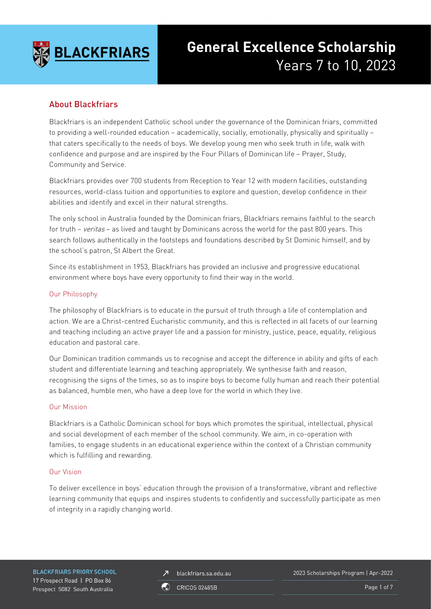

# **General Excellence Scholarship** Years 7 to 10, 2023

# About Blackfriars

Blackfriars is an independent Catholic school under the governance of the Dominican friars, committed to providing a well-rounded education – academically, socially, emotionally, physically and spiritually – that caters specifically to the needs of boys. We develop young men who seek truth in life, walk with confidence and purpose and are inspired by the Four Pillars of Dominican life – Prayer, Study, Community and Service.

Blackfriars provides over 700 students from Reception to Year 12 with modern facilities, outstanding resources, world-class tuition and opportunities to explore and question, develop confidence in their abilities and identify and excel in their natural strengths.

The only school in Australia founded by the Dominican friars, Blackfriars remains faithful to the search for truth – veritas – as lived and taught by Dominicans across the world for the past 800 years. This search follows authentically in the footsteps and foundations described by St Dominic himself, and by the school's patron, St Albert the Great.

Since its establishment in 1953, Blackfriars has provided an inclusive and progressive educational environment where boys have every opportunity to find their way in the world.

#### Our Philosophy

The philosophy of Blackfriars is to educate in the pursuit of truth through a life of contemplation and action. We are a Christ-centred Eucharistic community, and this is reflected in all facets of our learning and teaching including an active prayer life and a passion for ministry, justice, peace, equality, religious education and pastoral care.

Our Dominican tradition commands us to recognise and accept the difference in ability and gifts of each student and differentiate learning and teaching appropriately. We synthesise faith and reason, recognising the signs of the times, so as to inspire boys to become fully human and reach their potential as balanced, humble men, who have a deep love for the world in which they live.

#### Our Mission

Blackfriars is a Catholic Dominican school for boys which promotes the spiritual, intellectual, physical and social development of each member of the school community. We aim, in co-operation with families, to engage students in an educational experience within the context of a Christian community which is fulfilling and rewarding.

#### Our Vision

To deliver excellence in boys' education through the provision of a transformative, vibrant and reflective learning community that equips and inspires students to confidently and successfully participate as men of integrity in a rapidly changing world.

**BLACKFRIARS PRIORY SCHOOL** 17 Prospect Road | PO Box 86 Prospect 5082 South Australia

blackfriars.sa.edu.au  $\overline{\mathbf{z}}$ 

2023 Scholarships Program | Apr-2022

**CRICOS 02485B** 

Page 1 of 7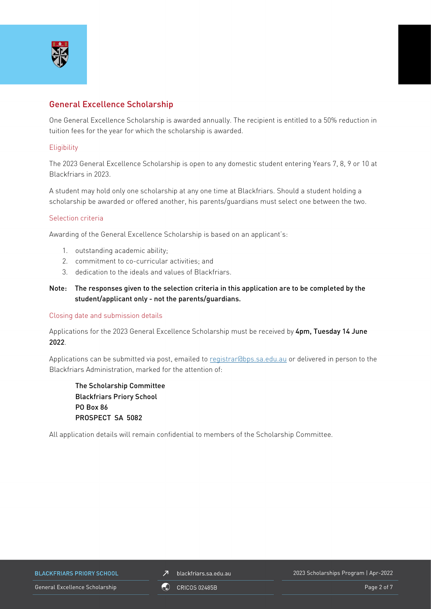

# General Excellence Scholarship

One General Excellence Scholarship is awarded annually. The recipient is entitled to a 50% reduction in tuition fees for the year for which the scholarship is awarded.

#### **Eligibility**

The 2023 General Excellence Scholarship is open to any domestic student entering Years 7, 8, 9 or 10 at Blackfriars in 2023.

A student may hold only one scholarship at any one time at Blackfriars. Should a student holding a scholarship be awarded or offered another, his parents/guardians must select one between the two.

#### Selection criteria

Awarding of the General Excellence Scholarship is based on an applicant's:

- 1. outstanding academic ability;
- 2. commitment to co-curricular activities; and
- 3. dedication to the ideals and values of Blackfriars.
- Note: The responses given to the selection criteria in this application are to be completed by the student/applicant only - not the parents/guardians.

#### Closing date and submission details

Applications for the 2023 General Excellence Scholarship must be received by 4pm, Tuesday 14 June 2022.

Applications can be submitted via post, emailed to [registrar@bps.sa.edu.au](mailto:registrar@bps.sa.edu.au) or delivered in person to the Blackfriars Administration, marked for the attention of:

The Scholarship Committee Blackfriars Priory School PO Box 86 PROSPECT SA 5082

All application details will remain confidential to members of the Scholarship Committee.

**BLACKFRIARS PRIORY SCHOOL** 

 $\n *J*\n blackfriars.sa.edu.au\n$ 

2023 Scholarships Program | Apr-2022

General Excellence Scholarship **CO** CRICOS 02485B CONVERTING CONVERTING CONVERTING Page 2 of 7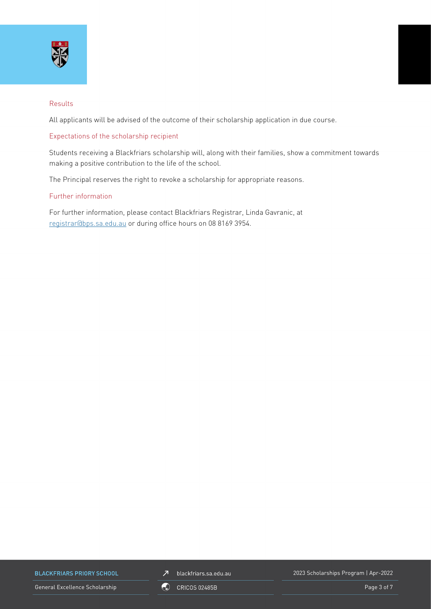

#### Results

All applicants will be advised of the outcome of their scholarship application in due course.

#### Expectations of the scholarship recipient

Students receiving a Blackfriars scholarship will, along with their families, show a commitment towards making a positive contribution to the life of the school.

The Principal reserves the right to revoke a scholarship for appropriate reasons.

#### Further information

For further information, please contact Blackfriars Registrar, Linda Gavranic, at [registrar@bps.sa.edu.au](mailto:registrar@bps.sa.edu.au) or during office hours on 08 8169 3954.

**BLACKFRIARS PRIORY SCHOOL** 

General Excellence Scholarship Page 3 of 7



2023 Scholarships Program | Apr-2022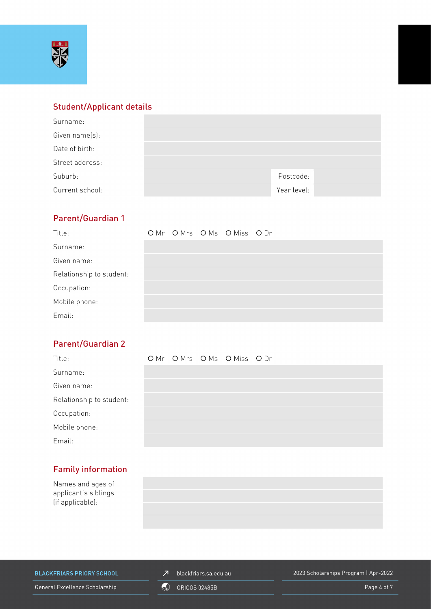

## Student/Applicant details

| Surname:        |             |  |
|-----------------|-------------|--|
| Given name(s):  |             |  |
| Date of birth:  |             |  |
| Street address: |             |  |
| Suburb:         | Postcode:   |  |
| Current school: | Year level: |  |

# Parent/Guardian 1

| Title:                   |  | OMr OMrs OMs OMiss ODr |  |
|--------------------------|--|------------------------|--|
| Surname:                 |  |                        |  |
| Given name:              |  |                        |  |
| Relationship to student: |  |                        |  |
| Occupation:              |  |                        |  |
| Mobile phone:            |  |                        |  |
| Email:                   |  |                        |  |

# Parent/Guardian 2

| Title:                   |  | OMr OMrs OMs OMiss ODr |  |
|--------------------------|--|------------------------|--|
| Surname:                 |  |                        |  |
| Given name:              |  |                        |  |
| Relationship to student: |  |                        |  |
| Occupation:              |  |                        |  |
| Mobile phone:            |  |                        |  |
| Email:                   |  |                        |  |

# Family information

Names and ages of applicant's siblings (if applicable):



**BLACKFRIARS PRIORY SCHOOL** 

 $\n *J*\n blackfriars.sa.edu.au\n$ 

2023 Scholarships Program | Apr-2022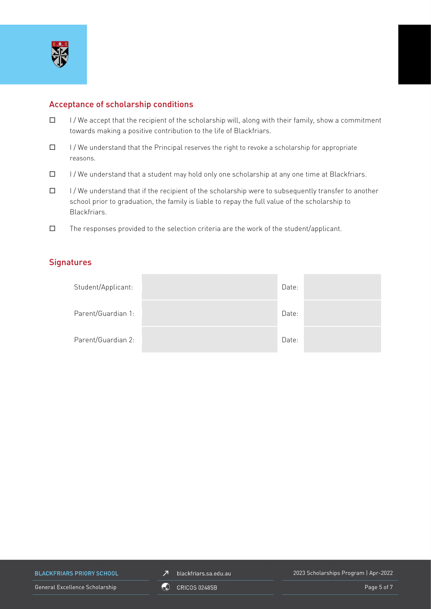

## Acceptance of scholarship conditions

- $\Box$  I/We accept that the recipient of the scholarship will, along with their family, show a commitment towards making a positive contribution to the life of Blackfriars.
- $\Box$  I/We understand that the Principal reserves the right to revoke a scholarship for appropriate reasons.
- $\Box$  I/We understand that a student may hold only one scholarship at any one time at Blackfriars.
- $\Box$  I/We understand that if the recipient of the scholarship were to subsequently transfer to another school prior to graduation, the family is liable to repay the full value of the scholarship to Blackfriars.
- $\square$  The responses provided to the selection criteria are the work of the student/applicant.

## **Signatures**

| Student/Applicant: | Date: |  |
|--------------------|-------|--|
| Parent/Guardian 1: | Date: |  |
| Parent/Guardian 2: | Date: |  |

**BLACKFRIARS PRIORY SCHOOL** 

 $\n *J*\n blackfriars.sa.edu.au\n$ 

2023 Scholarships Program | Apr-2022

General Excellence Scholarship **Canadian Canadian Canadian Canadian Canadian Canadian Canadian Page 5 of 7**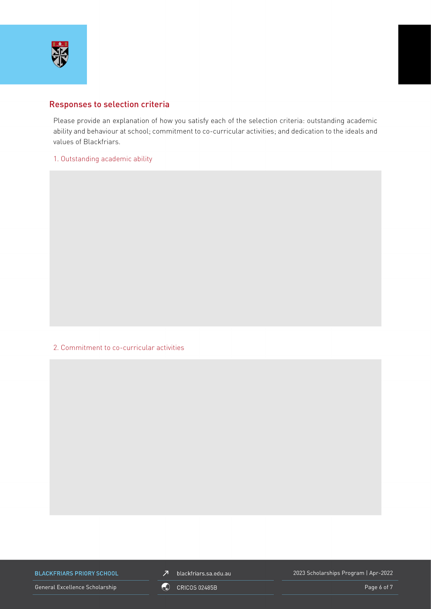

## Responses to selection criteria

Please provide an explanation of how you satisfy each of the selection criteria: outstanding academic ability and behaviour at school; commitment to co-curricular activities; and dedication to the ideals and values of Blackfriars.

1. Outstanding academic ability

2. Commitment to co-curricular activities

**BLACKFRIARS PRIORY SCHOOL** 

 $\n *J*\n blackfriars.sa.edu.au\n$ 

2023 Scholarships Program | Apr-2022

General Excellence Scholarship Control Control Control Control Control Control Control Control Control Control Co